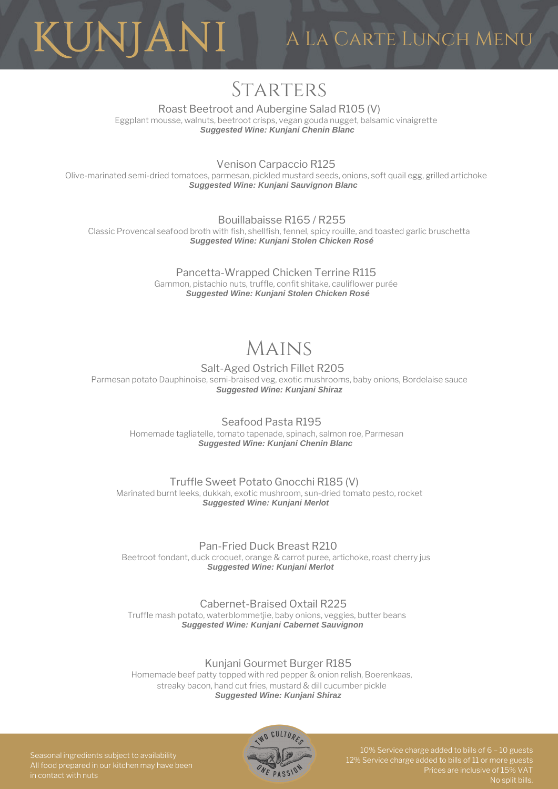

# A La Carte Lunch Menu

# **STARTERS**

Roast Beetroot and Aubergine Salad R105 (V) Eggplant mousse, walnuts, beetroot crisps, vegan gouda nugget, balsamic vinaigrette *Suggested Wine: Kunjani Chenin Blanc*

Venison Carpaccio R125

Olive-marinated semi-dried tomatoes, parmesan, pickled mustard seeds, onions, soft quail egg, grilled artichoke *Suggested Wine: Kunjani Sauvignon Blanc*

Bouillabaisse R165 / R255 Classic Provencal seafood broth with fish, shellfish, fennel, spicy rouille, and toasted garlic bruschetta *Suggested Wine: Kunjani Stolen Chicken Rosé*

> Pancetta-Wrapped Chicken Terrine R115 Gammon, pistachio nuts, truffle, confit shitake, cauliflower purée *Suggested Wine: Kunjani Stolen Chicken Rosé*

# Mains

Salt-Aged Ostrich Fillet R205 Parmesan potato Dauphinoise, semi-braised veg, exotic mushrooms, baby onions, Bordelaise sauce *Suggested Wine: Kunjani Shiraz*

Seafood Pasta R195 Homemade tagliatelle, tomato tapenade, spinach, salmon roe, Parmesan *Suggested Wine: Kunjani Chenin Blanc*

Truffle Sweet Potato Gnocchi R185 (V) Marinated burnt leeks, dukkah, exotic mushroom, sun-dried tomato pesto, rocket *Suggested Wine: Kunjani Merlot*

Pan-Fried Duck Breast R210 Beetroot fondant, duck croquet, orange & carrot puree, artichoke, roast cherry jus *Suggested Wine: Kunjani Merlot*

Cabernet-Braised Oxtail R225 Truffle mash potato, waterblommetjie, baby onions, veggies, butter beans *Suggested Wine: Kunjani Cabernet Sauvignon*

Kunjani Gourmet Burger R185

Homemade beef patty topped with red pepper & onion relish, Boerenkaas, streaky bacon, hand cut fries, mustard & dill cucumber pickle *Suggested Wine: Kunjani Shiraz*



10% Service charge added to bills of 6 – 10 guests 12% Service charge added to bills of 11 or more guests

Seasonal ingredients subject to availability All food prepared in our kitchen may have been in contact with nuts